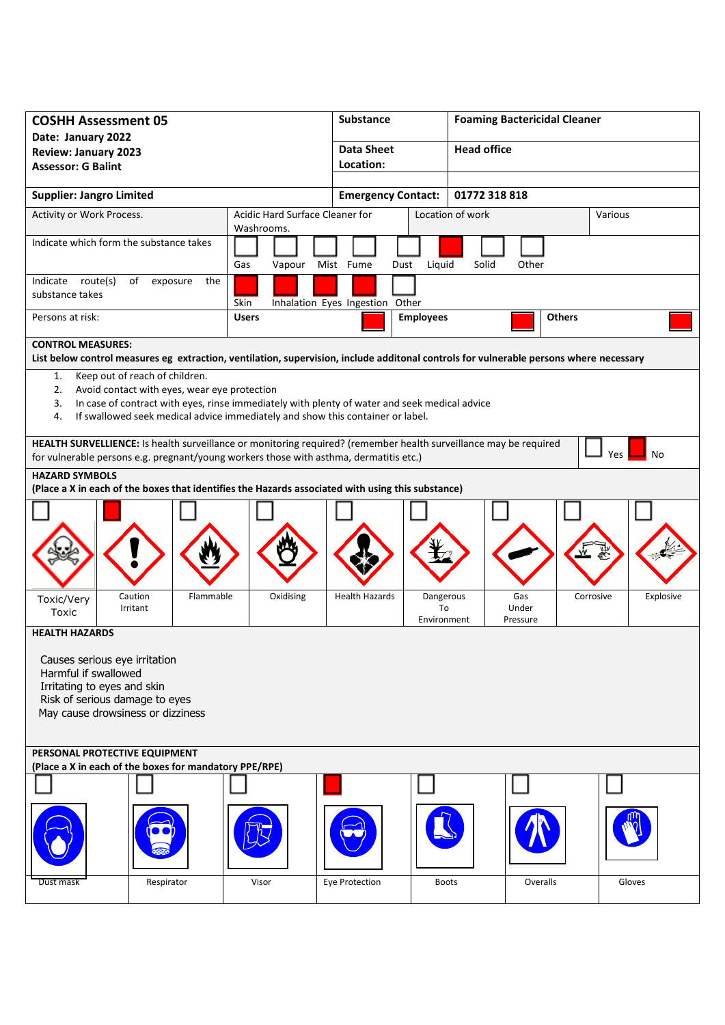| <b>COSHH Assessment 05</b>                                                                                                                                                                                                                                                                |               | <b>Substance</b>                | <b>Foaming Bactericidal Cleaner</b>                        |                        |  |  |  |
|-------------------------------------------------------------------------------------------------------------------------------------------------------------------------------------------------------------------------------------------------------------------------------------------|---------------|---------------------------------|------------------------------------------------------------|------------------------|--|--|--|
| Date: January 2022                                                                                                                                                                                                                                                                        |               | <b>Data Sheet</b>               | <b>Head office</b>                                         |                        |  |  |  |
| <b>Review: January 2023</b>                                                                                                                                                                                                                                                               |               | Location:                       |                                                            |                        |  |  |  |
| <b>Assessor: G Balint</b>                                                                                                                                                                                                                                                                 |               |                                 |                                                            |                        |  |  |  |
| <b>Supplier: Jangro Limited</b>                                                                                                                                                                                                                                                           |               | <b>Emergency Contact:</b>       | 01772 318 818                                              |                        |  |  |  |
| Acidic Hard Surface Cleaner for<br>Activity or Work Process.<br>Washrooms.                                                                                                                                                                                                                |               |                                 | Location of work                                           | Various                |  |  |  |
| Indicate which form the substance takes                                                                                                                                                                                                                                                   | Gas<br>Vapour | Mist Fume<br>Liquid<br>Dust     | Other<br>Solid                                             |                        |  |  |  |
| Indicate route(s)<br>of<br>exposure<br>the<br>substance takes                                                                                                                                                                                                                             | Skin          | Inhalation Eyes Ingestion Other |                                                            |                        |  |  |  |
| Persons at risk:                                                                                                                                                                                                                                                                          | <b>Users</b>  | <b>Employees</b>                | <b>Others</b>                                              |                        |  |  |  |
| <b>CONTROL MEASURES:</b>                                                                                                                                                                                                                                                                  |               |                                 |                                                            |                        |  |  |  |
| List below control measures eg extraction, ventilation, supervision, include additonal controls for vulnerable persons where necessary                                                                                                                                                    |               |                                 |                                                            |                        |  |  |  |
| Keep out of reach of children.<br>1.<br>Avoid contact with eyes, wear eye protection<br>2.<br>In case of contract with eyes, rinse immediately with plenty of water and seek medical advice<br>3.<br>If swallowed seek medical advice immediately and show this container or label.<br>4. |               |                                 |                                                            |                        |  |  |  |
| HEALTH SURVELLIENCE: Is health surveillance or monitoring required? (remember health surveillance may be required<br>Yes<br>No<br>for vulnerable persons e.g. pregnant/young workers those with asthma, dermatitis etc.)                                                                  |               |                                 |                                                            |                        |  |  |  |
| <b>HAZARD SYMBOLS</b><br>(Place a X in each of the boxes that identifies the Hazards associated with using this substance)                                                                                                                                                                |               |                                 |                                                            |                        |  |  |  |
|                                                                                                                                                                                                                                                                                           |               |                                 |                                                            |                        |  |  |  |
| Caution<br>Flammable<br>Toxic/Very<br>Irritant<br>Toxic                                                                                                                                                                                                                                   | Oxidising     | <b>Health Hazards</b>           | Gas<br>Dangerous<br>To<br>Under<br>Environment<br>Pressure | Corrosive<br>Explosive |  |  |  |
| <b>HEALTH HAZARDS</b>                                                                                                                                                                                                                                                                     |               |                                 |                                                            |                        |  |  |  |
| Causes serious eye irritation<br>Harmful if swallowed<br>Irritating to eyes and skin<br>Risk of serious damage to eyes<br>May cause drowsiness or dizziness                                                                                                                               |               |                                 |                                                            |                        |  |  |  |
| PERSONAL PROTECTIVE EQUIPMENT                                                                                                                                                                                                                                                             |               |                                 |                                                            |                        |  |  |  |
| (Place a X in each of the boxes for mandatory PPE/RPE)                                                                                                                                                                                                                                    |               |                                 |                                                            |                        |  |  |  |
|                                                                                                                                                                                                                                                                                           |               |                                 |                                                            |                        |  |  |  |
| Respirator<br>Dust mask                                                                                                                                                                                                                                                                   | Visor         | Eye Protection                  | <b>Boots</b><br>Overalls                                   | Gloves                 |  |  |  |